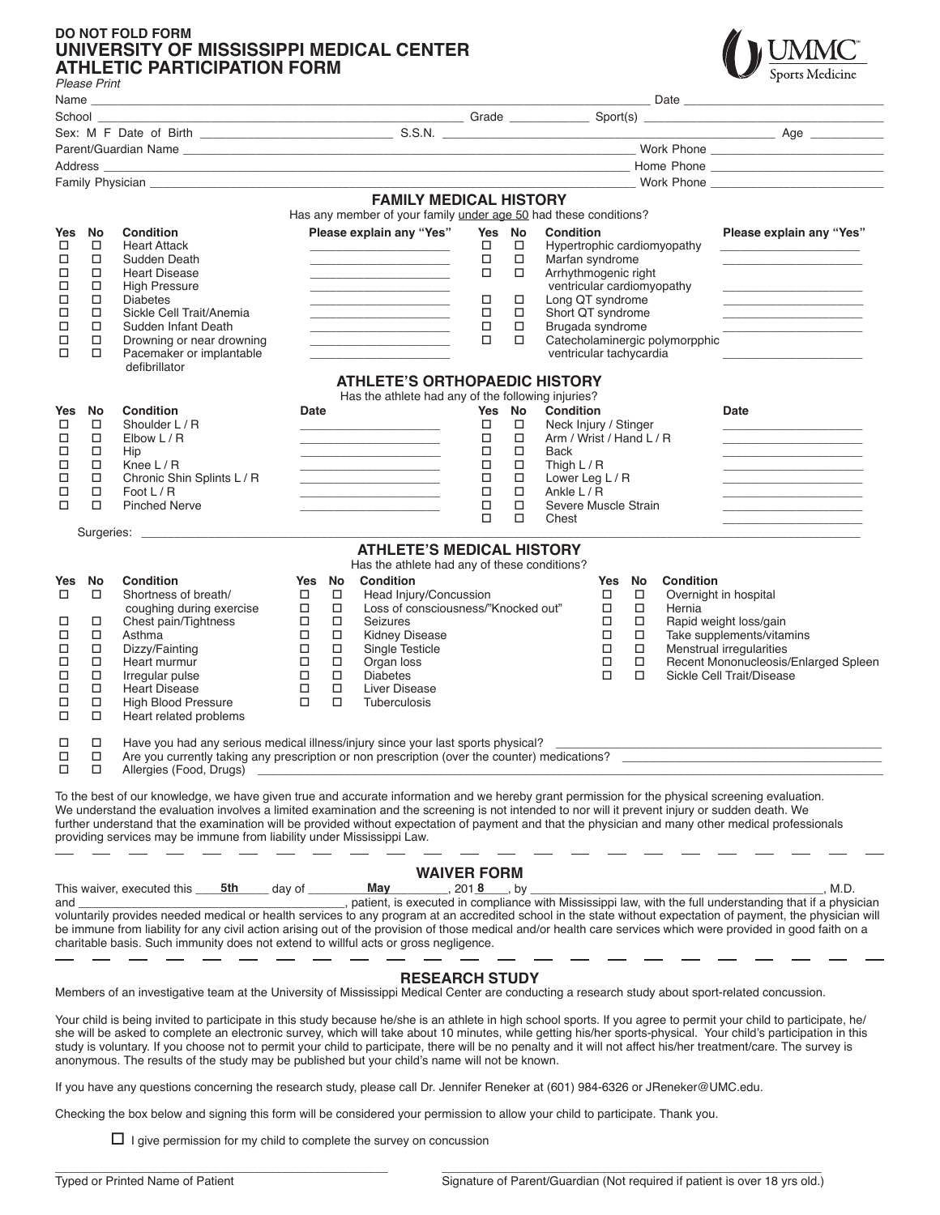## **DO NOT FOLD FORM UNIVERSITY OF MISSISSIPPI MEDICAL CENTER ATHLETIC PARTICIPATION FORM**



|                                                  | Please Print                                                             |                                                                                                                                                                                                                                                                                                                                                                                                                                                                                                                                     |                                                                                                                                                                      |                                                                                                                                                                                                                                                                                                                                                                                         |                                                     |                                                                                                                                                                                                                        |                  |                                                                                                                                                               |                                                      |                                                               |                                                                                                                                                                                                                                                                                                                                                             |
|--------------------------------------------------|--------------------------------------------------------------------------|-------------------------------------------------------------------------------------------------------------------------------------------------------------------------------------------------------------------------------------------------------------------------------------------------------------------------------------------------------------------------------------------------------------------------------------------------------------------------------------------------------------------------------------|----------------------------------------------------------------------------------------------------------------------------------------------------------------------|-----------------------------------------------------------------------------------------------------------------------------------------------------------------------------------------------------------------------------------------------------------------------------------------------------------------------------------------------------------------------------------------|-----------------------------------------------------|------------------------------------------------------------------------------------------------------------------------------------------------------------------------------------------------------------------------|------------------|---------------------------------------------------------------------------------------------------------------------------------------------------------------|------------------------------------------------------|---------------------------------------------------------------|-------------------------------------------------------------------------------------------------------------------------------------------------------------------------------------------------------------------------------------------------------------------------------------------------------------------------------------------------------------|
|                                                  |                                                                          |                                                                                                                                                                                                                                                                                                                                                                                                                                                                                                                                     |                                                                                                                                                                      |                                                                                                                                                                                                                                                                                                                                                                                         |                                                     |                                                                                                                                                                                                                        |                  |                                                                                                                                                               |                                                      |                                                               |                                                                                                                                                                                                                                                                                                                                                             |
|                                                  |                                                                          |                                                                                                                                                                                                                                                                                                                                                                                                                                                                                                                                     |                                                                                                                                                                      |                                                                                                                                                                                                                                                                                                                                                                                         |                                                     |                                                                                                                                                                                                                        |                  |                                                                                                                                                               |                                                      |                                                               |                                                                                                                                                                                                                                                                                                                                                             |
|                                                  |                                                                          |                                                                                                                                                                                                                                                                                                                                                                                                                                                                                                                                     |                                                                                                                                                                      |                                                                                                                                                                                                                                                                                                                                                                                         |                                                     |                                                                                                                                                                                                                        |                  |                                                                                                                                                               |                                                      |                                                               |                                                                                                                                                                                                                                                                                                                                                             |
|                                                  |                                                                          |                                                                                                                                                                                                                                                                                                                                                                                                                                                                                                                                     |                                                                                                                                                                      |                                                                                                                                                                                                                                                                                                                                                                                         |                                                     |                                                                                                                                                                                                                        |                  |                                                                                                                                                               |                                                      |                                                               |                                                                                                                                                                                                                                                                                                                                                             |
|                                                  |                                                                          |                                                                                                                                                                                                                                                                                                                                                                                                                                                                                                                                     |                                                                                                                                                                      |                                                                                                                                                                                                                                                                                                                                                                                         |                                                     |                                                                                                                                                                                                                        |                  |                                                                                                                                                               |                                                      |                                                               |                                                                                                                                                                                                                                                                                                                                                             |
|                                                  |                                                                          |                                                                                                                                                                                                                                                                                                                                                                                                                                                                                                                                     |                                                                                                                                                                      | <b>FAMILY MEDICAL HISTORY</b><br>Has any member of your family under age 50 had these conditions?                                                                                                                                                                                                                                                                                       |                                                     |                                                                                                                                                                                                                        |                  |                                                                                                                                                               |                                                      |                                                               |                                                                                                                                                                                                                                                                                                                                                             |
| Yes<br>□<br>□<br>□<br>□<br>□<br>□<br>□<br>□<br>□ | No<br>□<br>□<br>$\Box$<br>□<br>□<br>$\Box$<br>□<br>□<br>□                | <b>Condition</b><br><b>Heart Attack</b><br>Sudden Death<br><b>Heart Disease</b><br><b>High Pressure</b><br><b>Diabetes</b><br>Sickle Cell Trait/Anemia<br>Sudden Infant Death<br>Drowning or near drowning<br>Pacemaker or implantable<br>defibrillator                                                                                                                                                                                                                                                                             |                                                                                                                                                                      | Please explain any "Yes"<br>the control of the control of the control of<br><u> 1989 - Johann John Harry Harry Harry Harry Harry Harry Harry Harry Harry Harry Harry Harry Harry Harry Harry Harry Harry Harry Harry Harry Harry Harry Harry Harry Harry Harry Harry Harry Harry Harry Harry Harry Harry Har</u>                                                                        | Yes No<br>$\Box$<br>□<br>□<br>□<br>□<br>□<br>$\Box$ | □<br>□<br>□<br>□<br>□<br>□<br>□                                                                                                                                                                                        | <b>Condition</b> | Marfan syndrome<br>Arrhythmogenic right<br>ventricular cardiomyopathy<br>Long QT syndrome<br>Short QT syndrome<br>Brugada syndrome<br>ventricular tachycardia |                                                      | Hypertrophic cardiomyopathy<br>Catecholaminergic polymorpphic | Please explain any "Yes"<br>the control of the control of the control of                                                                                                                                                                                                                                                                                    |
|                                                  |                                                                          |                                                                                                                                                                                                                                                                                                                                                                                                                                                                                                                                     |                                                                                                                                                                      | <b>ATHLETE'S ORTHOPAEDIC HISTORY</b>                                                                                                                                                                                                                                                                                                                                                    |                                                     |                                                                                                                                                                                                                        |                  |                                                                                                                                                               |                                                      |                                                               |                                                                                                                                                                                                                                                                                                                                                             |
| Yes<br>□<br>□<br>□<br>□<br>□<br>□<br>$\Box$      | No<br>$\Box$<br>$\Box$<br>$\Box$<br>$\Box$<br>$\Box$<br>$\Box$<br>$\Box$ | Condition<br>Shoulder L / R<br>Elbow L/R<br>Hip<br>Knee $L/R$<br>Chronic Shin Splints L / R<br>Foot L / R<br><b>Pinched Nerve</b>                                                                                                                                                                                                                                                                                                                                                                                                   | Date                                                                                                                                                                 | Has the athlete had any of the following injuries?<br>the control of the control of the control of the control of the control of the control of<br><u> 1980 - Johann John Harry Harry Harry Harry Harry Harry Harry Harry Harry Harry Harry Harry Harry Harry Harry Harry Harry Harry Harry Harry Harry Harry Harry Harry Harry Harry Harry Harry Harry Harry Harry Harry Harry Har</u> |                                                     | Yes No<br><b>Condition</b><br>$\Box$<br>Neck Injury / Stinger<br>□<br>Arm / Wrist / Hand L / R<br>П<br>Back<br>□<br>Thigh $L/R$<br>П<br>Lower Leg L / R<br>Ankle L / R<br>□<br>□<br>Severe Muscle Strain<br>□<br>Chest |                  |                                                                                                                                                               |                                                      |                                                               | Date<br><u>and the state of the state of the state of the state</u><br><u> 1989 - Johann John Harry Harry Harry Harry Harry Harry Harry Harry Harry Harry Harry Harry Harry Harry Harry Harry Harry Harry Harry Harry Harry Harry Harry Harry Harry Harry Harry Harry Harry Harry Harry Harry Harry Har</u><br>the control of the control of the control of |
|                                                  |                                                                          |                                                                                                                                                                                                                                                                                                                                                                                                                                                                                                                                     |                                                                                                                                                                      |                                                                                                                                                                                                                                                                                                                                                                                         |                                                     |                                                                                                                                                                                                                        |                  |                                                                                                                                                               |                                                      |                                                               |                                                                                                                                                                                                                                                                                                                                                             |
|                                                  |                                                                          |                                                                                                                                                                                                                                                                                                                                                                                                                                                                                                                                     |                                                                                                                                                                      | <b>ATHLETE'S MEDICAL HISTORY</b><br>Has the athlete had any of these conditions?                                                                                                                                                                                                                                                                                                        |                                                     |                                                                                                                                                                                                                        |                  |                                                                                                                                                               |                                                      |                                                               |                                                                                                                                                                                                                                                                                                                                                             |
| Yes<br>□<br>□<br>□<br>□<br>□<br>□<br>□<br>□<br>◻ | No<br>$\Box$<br>$\Box$<br>$\Box$<br>□<br>П<br>□<br>$\Box$<br>$\Box$<br>□ | <b>Condition</b><br>Shortness of breath/<br>coughing during exercise<br>Chest pain/Tightness<br>Asthma<br>Dizzy/Fainting<br>Heart murmur<br>Irregular pulse<br><b>Heart Disease</b><br><b>High Blood Pressure</b><br>Heart related problems                                                                                                                                                                                                                                                                                         | No<br>Yes<br>$\Box$<br>□<br>$\Box$<br>$\Box$<br>$\Box$<br>$\Box$<br>□<br>$\Box$<br>$\Box$<br>□<br>$\Box$<br>$\Box$<br>$\Box$<br>□<br>$\Box$<br>□<br>$\Box$<br>$\Box$ | Condition<br>Head Injury/Concussion<br>Loss of consciousness/"Knocked out"<br>Seizures<br><b>Kidney Disease</b><br>Single Testicle<br>Organ loss<br><b>Diabetes</b><br>Liver Disease<br><b>Tuberculosis</b>                                                                                                                                                                             |                                                     |                                                                                                                                                                                                                        |                  | Yes<br>$\Box$<br>$\Box$<br>$\Box$<br>$\Box$<br>$\Box$<br>□<br>$\Box$                                                                                          | No<br>$\Box$<br>□<br>$\Box$<br>□<br>$\Box$<br>□<br>□ | <b>Condition</b><br>Overnight in hospital<br>Hernia           | Rapid weight loss/gain<br>Take supplements/vitamins<br>Menstrual irregularities<br>Recent Mononucleosis/Enlarged Spleen<br>Sickle Cell Trait/Disease                                                                                                                                                                                                        |
| ◻<br>□<br>$\Box$                                 | □<br>$\Box$<br>$\Box$                                                    | Have you had any serious medical illness/injury since your last sports physical?<br>Are you currently taking any prescription or non prescription (over the counter) medications?<br>Allergies (Food, Drugs)                                                                                                                                                                                                                                                                                                                        |                                                                                                                                                                      |                                                                                                                                                                                                                                                                                                                                                                                         |                                                     |                                                                                                                                                                                                                        |                  |                                                                                                                                                               |                                                      |                                                               |                                                                                                                                                                                                                                                                                                                                                             |
|                                                  |                                                                          | To the best of our knowledge, we have given true and accurate information and we hereby grant permission for the physical screening evaluation.<br>We understand the evaluation involves a limited examination and the screening is not intended to nor will it prevent injury or sudden death. We<br>further understand that the examination will be provided without expectation of payment and that the physician and many other medical professionals<br>providing services may be immune from liability under Mississippi Law. |                                                                                                                                                                      |                                                                                                                                                                                                                                                                                                                                                                                         |                                                     |                                                                                                                                                                                                                        |                  |                                                                                                                                                               |                                                      |                                                               |                                                                                                                                                                                                                                                                                                                                                             |
| and                                              |                                                                          | This waiver, executed this<br>5th<br>voluntarily provides needed medical or health services to any program at an accredited school in the state without expectation of payment, the physician will<br>be immune from liability for any civil action arising out of the provision of those medical and/or health care services which were provided in good faith on a<br>charitable basis. Such immunity does not extend to willful acts or gross negligence.                                                                        | day of                                                                                                                                                               | May                                                                                                                                                                                                                                                                                                                                                                                     | <b>WAIVER FORM</b><br>$2018$ , by                   |                                                                                                                                                                                                                        |                  |                                                                                                                                                               |                                                      |                                                               | , M.D.<br>patient, is executed in compliance with Mississippi law, with the full understanding that if a physician                                                                                                                                                                                                                                          |
|                                                  |                                                                          | Members of an investigative team at the University of Mississippi Medical Center are conducting a research study about sport-related concussion.                                                                                                                                                                                                                                                                                                                                                                                    |                                                                                                                                                                      | <b>RESEARCH STUDY</b>                                                                                                                                                                                                                                                                                                                                                                   |                                                     |                                                                                                                                                                                                                        |                  |                                                                                                                                                               |                                                      |                                                               |                                                                                                                                                                                                                                                                                                                                                             |

Your child is being invited to participate in this study because he/she is an athlete in high school sports. If you agree to permit your child to participate, he/ she will be asked to complete an electronic survey, which will take about 10 minutes, while getting his/her sports-physical. Your child's participation in this study is voluntary. If you choose not to permit your child to participate, there will be no penalty and it will not affect his/her treatment/care. The survey is anonymous. The results of the study may be published but your child's name will not be known.

If you have any questions concerning the research study, please call Dr. Jennifer Reneker at (601) 984-6326 or JReneker@UMC.edu.

Checking the box below and signing this form will be considered your permission to allow your child to participate. Thank you.

 $\Box$  I give permission for my child to complete the survey on concussion